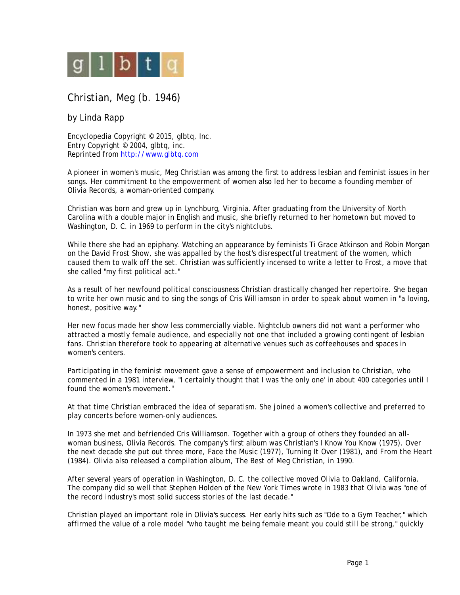

## Christian, Meg (b. 1946)

## by Linda Rapp

Encyclopedia Copyright © 2015, glbtq, Inc. Entry Copyright © 2004, glbtq, inc. Reprinted from<http://www.glbtq.com>

A pioneer in women's music, Meg Christian was among the first to address lesbian and feminist issues in her songs. Her commitment to the empowerment of women also led her to become a founding member of Olivia Records, a woman-oriented company.

Christian was born and grew up in Lynchburg, Virginia. After graduating from the University of North Carolina with a double major in English and music, she briefly returned to her hometown but moved to Washington, D. C. in 1969 to perform in the city's nightclubs.

While there she had an epiphany. Watching an appearance by feminists Ti Grace Atkinson and Robin Morgan on the *David Frost Show*, she was appalled by the host's disrespectful treatment of the women, which caused them to walk off the set. Christian was sufficiently incensed to write a letter to Frost, a move that she called "my first political act."

As a result of her newfound political consciousness Christian drastically changed her repertoire. She began to write her own music and to sing the songs of Cris Williamson in order to speak about women in "a loving, honest, positive way."

Her new focus made her show less commercially viable. Nightclub owners did not want a performer who attracted a mostly female audience, and especially not one that included a growing contingent of lesbian fans. Christian therefore took to appearing at alternative venues such as coffeehouses and spaces in women's centers.

Participating in the feminist movement gave a sense of empowerment and inclusion to Christian, who commented in a 1981 interview, "I certainly thought that I was 'the only one' in about 400 categories until I found the women's movement."

At that time Christian embraced the idea of separatism. She joined a women's collective and preferred to play concerts before women-only audiences.

In 1973 she met and befriended Cris Williamson. Together with a group of others they founded an allwoman business, Olivia Records. The company's first album was Christian's *I Know You Know* (1975). Over the next decade she put out three more, *Face the Music* (1977), *Turning It Over* (1981), and *From the Heart* (1984). Olivia also released a compilation album, *The Best of Meg Christian*, in 1990.

After several years of operation in Washington, D. C. the collective moved Olivia to Oakland, California. The company did so well that Stephen Holden of the *New York Times* wrote in 1983 that Olivia was "one of the record industry's most solid success stories of the last decade."

Christian played an important role in Olivia's success. Her early hits such as "Ode to a Gym Teacher," which affirmed the value of a role model "who taught me being female meant you could still be strong," quickly